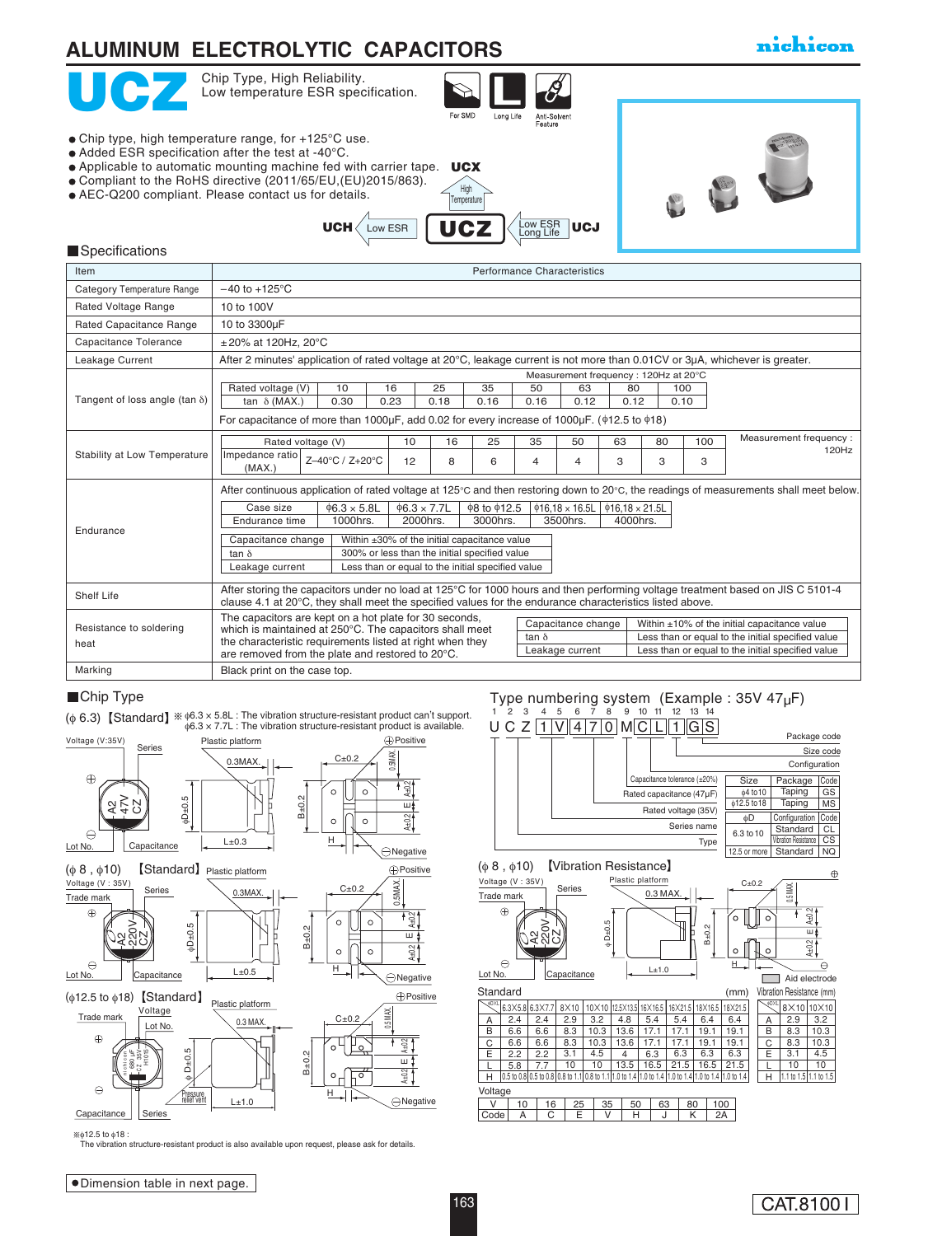

(φ 6.3) Standard <sup>φ</sup>6.3 × 5.8L : The vibration structure-resistant product can' t support. φ6.3 × 7.7L : The vibration structure-resistant product is available.



φ12.5 to φ18 :

tion structure-resistant product is also available upon request, please ask for details.

<u>U C Z |1 |V || 4 | 7 | 0 | M || C| L || 1 ||G||S</u> Chip Type<br>  $\frac{1}{2}$   $\frac{3}{4}$   $\frac{4}{5}$   $\frac{5}{6}$   $\frac{2}{7}$   $\frac{1}{1}$   $\frac{2}{1}$   $\frac{3}{4}$   $\frac{4}{5}$   $\frac{5}{6}$   $\frac{7}{7}$   $\frac{8}{9}$   $\frac{9}{10}$   $\frac{11}{12}$   $\frac{12}{13}$   $\frac{14}{14}$ <br>  $\frac{1}{12}$   $\frac{1}{12}$   $\frac{1}{12}$   $\frac{1}{12}$ Configuration Size code Capacitance tolerance (±20%) Package code Size Package Code

0.3 MAX.

Type numbering system (Example: 35V 4



B±0.2

H

 $C+0.2$ 

 $\circ$ 

(φ 8 , φ10) Vibration Resistance Plastic platform

| Voltage (V: 35V) |        |  |
|------------------|--------|--|
| Trade mark       | Series |  |
|                  |        |  |

 $\ominus$ Lot No. | Capacitance

163

|   |     |                                               |                       |      |                        |         |         |      |         |                                                              |                                                                                                                        |             | Aid electrode                                               |
|---|-----|-----------------------------------------------|-----------------------|------|------------------------|---------|---------|------|---------|--------------------------------------------------------------|------------------------------------------------------------------------------------------------------------------------|-------------|-------------------------------------------------------------|
|   |     |                                               |                       |      |                        |         |         |      |         |                                                              |                                                                                                                        |             |                                                             |
|   |     |                                               | 8X10                  |      |                        |         |         |      |         |                                                              |                                                                                                                        | $8\times10$ | 10×10                                                       |
| A | 2.4 | 2.4                                           | 2.9                   | 3.2  | 4.8                    | 5.4     | 5.4     | 6.4  | 6.4     |                                                              | А                                                                                                                      | 2.9         | 3.2                                                         |
| B | 6.6 | 6.6                                           | 8.3                   | 10.3 | 13.6                   | 17.1    | 17.1    | 19.1 | 19.1    |                                                              | B                                                                                                                      | 8.3         | 10.3                                                        |
| C | 6.6 | 6.6                                           | 8.3                   | 10.3 | 13.6                   | 17.1    | 17.1    | 19.1 | 19.1    |                                                              | C                                                                                                                      | 8.3         | 10.3                                                        |
| E | 2.2 | 2.2                                           | 3.1                   | 4.5  | 4                      | 6.3     | 6.3     | 6.3  | 6.3     |                                                              | E                                                                                                                      | 3.1         | 4.5                                                         |
|   | 5.8 | 7.7                                           | 10                    | 10   | 13.5                   | 16.5    | 21.5    | 16.5 | 21.5    |                                                              |                                                                                                                        | 10          | 10                                                          |
| Н |     |                                               |                       |      |                        |         |         |      |         |                                                              | Н                                                                                                                      |             |                                                             |
|   |     |                                               |                       |      |                        |         |         |      |         |                                                              |                                                                                                                        |             |                                                             |
| v |     |                                               |                       |      |                        |         |         |      |         |                                                              |                                                                                                                        |             |                                                             |
|   | А   | С                                             |                       |      |                        |         |         |      |         |                                                              |                                                                                                                        |             |                                                             |
|   |     | Lot No.<br>Standard<br>OXL<br>Voltage<br>Code | 6.3×5.8 6.3×7.7<br>10 | 16   | Capacitance<br>25<br>E | 35<br>v | 50<br>н | 63   | 80<br>κ | 10×10 12.5×13.5 16×16.5 16×21.5 18×16.5 18×21.5<br>100<br>2A | (mm)<br>0.5 to 0.8 0.5 to 0.8 0.8 to 1.1 0.8 to 1.1 1.0 to 1.4 1.0 to 1.4 11.0 to 1.4 1.0 to 1.4 1.0 to 1.4 1.0 to 1.4 |             | Vibration Resistance (mm)<br>.¢DXL<br>1.1 to 1.5 1.1 to 1.5 |

 $L+1.0$ 

 $A_{\pm 0.2}$   $\vert$  F  $A_{\pm 0.2}$ 

E

 $\frac{2}{3}$ 

 $\theta$ 

윞

 $\oplus$ 

0.5 MAX.